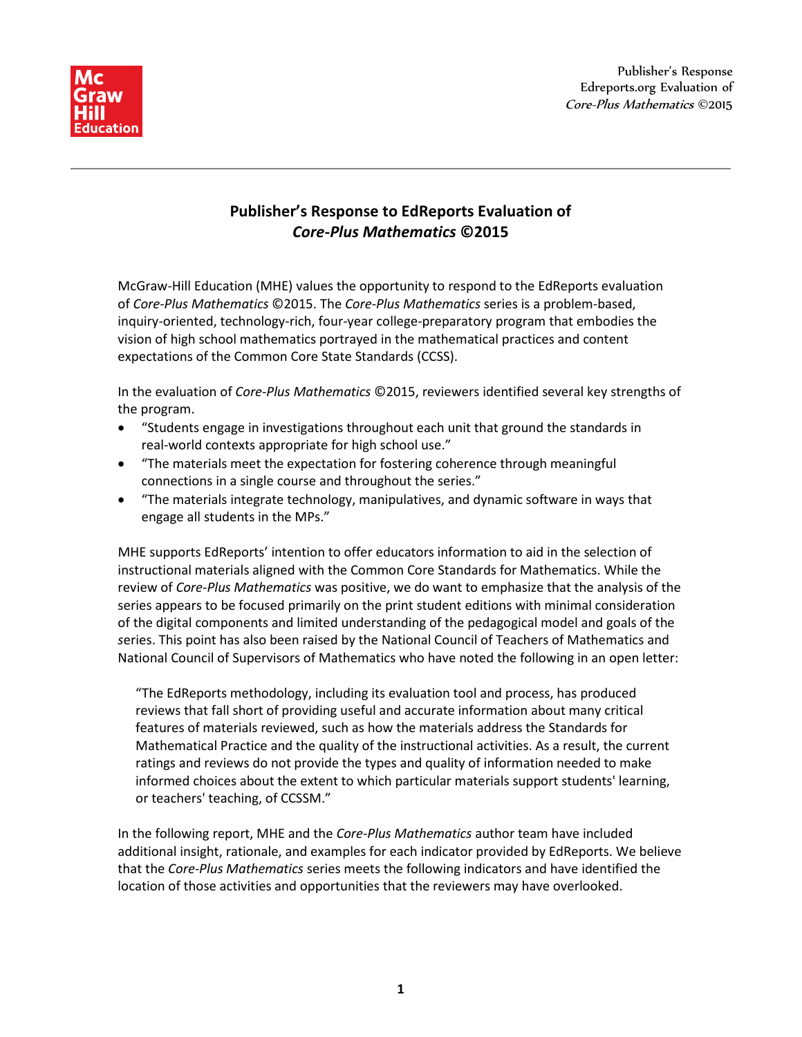



## **Publisher's Response to EdReports Evaluation of** *Core-Plus Mathematics* **©2015**

McGraw-Hill Education (MHE) values the opportunity to respond to the EdReports evaluation of *Core-Plus Mathematics* ©2015. The *Core-Plus Mathematics* series is a problem-based, inquiry-oriented, technology-rich, four-year college-preparatory program that embodies the vision of high school mathematics portrayed in the mathematical practices and content expectations of the Common Core State Standards (CCSS).

In the evaluation of *Core-Plus Mathematics* ©2015, reviewers identified several key strengths of the program.

- "Students engage in investigations throughout each unit that ground the standards in real-world contexts appropriate for high school use."
- "The materials meet the expectation for fostering coherence through meaningful connections in a single course and throughout the series."
- "The materials integrate technology, manipulatives, and dynamic software in ways that engage all students in the MPs."

MHE supports EdReports' intention to offer educators information to aid in the selection of instructional materials aligned with the Common Core Standards for Mathematics. While the review of *Core-Plus Mathematics* was positive, we do want to emphasize that the analysis of the series appears to be focused primarily on the print student editions with minimal consideration of the digital components and limited understanding of the pedagogical model and goals of the *s*eries. This point has also been raised by the National Council of Teachers of Mathematics and National Council of Supervisors of Mathematics who have noted the following in an open letter:

"The EdReports methodology, including its evaluation tool and process, has produced reviews that fall short of providing useful and accurate information about many critical features of materials reviewed, such as how the materials address the Standards for Mathematical Practice and the quality of the instructional activities. As a result, the current ratings and reviews do not provide the types and quality of information needed to make informed choices about the extent to which particular materials support students' learning, or teachers' teaching, of CCSSM."

In the following report, MHE and the *Core-Plus Mathematics* author team have included additional insight, rationale, and examples for each indicator provided by EdReports. We believe that the *Core-Plus Mathematics* series meets the following indicators and have identified the location of those activities and opportunities that the reviewers may have overlooked.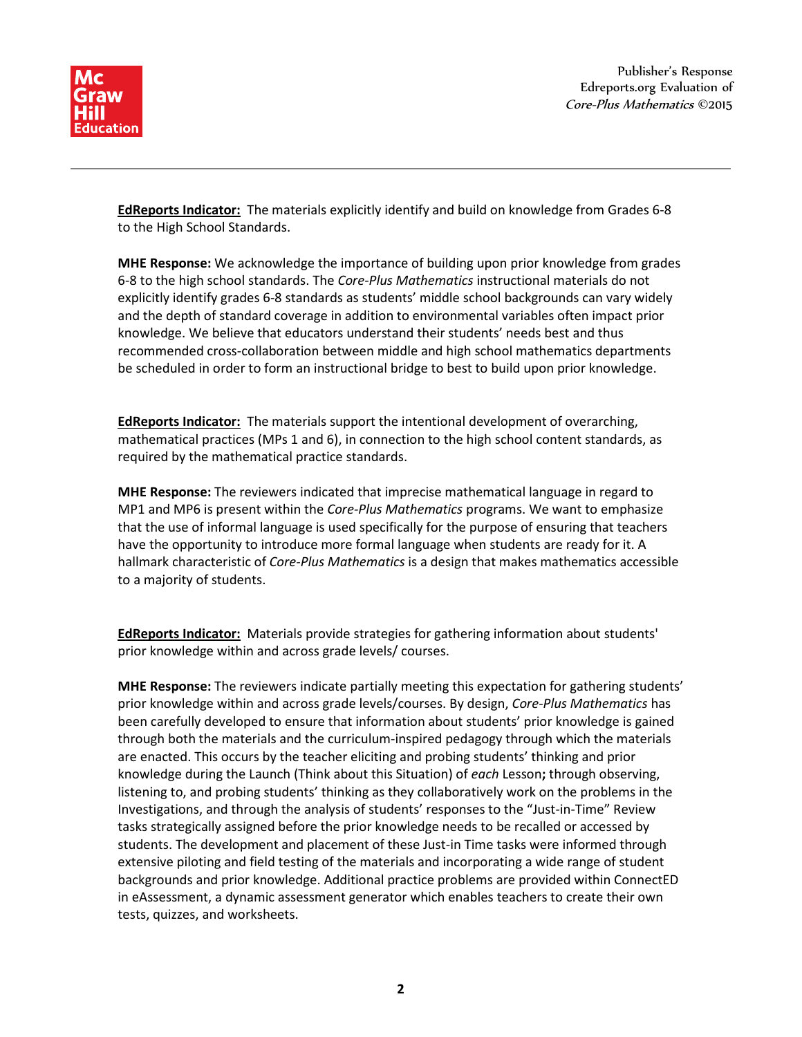

Publisher's Response Edreports.org Evaluation of Core-Plus Mathematics ©2015

**EdReports Indicator:** The materials explicitly identify and build on knowledge from Grades 6-8 to the High School Standards.

**MHE Response:** We acknowledge the importance of building upon prior knowledge from grades 6-8 to the high school standards. The *Core-Plus Mathematics* instructional materials do not explicitly identify grades 6-8 standards as students' middle school backgrounds can vary widely and the depth of standard coverage in addition to environmental variables often impact prior knowledge. We believe that educators understand their students' needs best and thus recommended cross-collaboration between middle and high school mathematics departments be scheduled in order to form an instructional bridge to best to build upon prior knowledge.

**EdReports Indicator:** The materials support the intentional development of overarching, mathematical practices (MPs 1 and 6), in connection to the high school content standards, as required by the mathematical practice standards.

**MHE Response:** The reviewers indicated that imprecise mathematical language in regard to MP1 and MP6 is present within the *Core-Plus Mathematics* programs. We want to emphasize that the use of informal language is used specifically for the purpose of ensuring that teachers have the opportunity to introduce more formal language when students are ready for it. A hallmark characteristic of *Core-Plus Mathematics* is a design that makes mathematics accessible to a majority of students.

**EdReports Indicator:** Materials provide strategies for gathering information about students' prior knowledge within and across grade levels/ courses.

**MHE Response:** The reviewers indicate partially meeting this expectation for gathering students' prior knowledge within and across grade levels/courses. By design, *Core-Plus Mathematics* has been carefully developed to ensure that information about students' prior knowledge is gained through both the materials and the curriculum-inspired pedagogy through which the materials are enacted. This occurs by the teacher eliciting and probing students' thinking and prior knowledge during the Launch (Think about this Situation) of *each* Lesson**;** through observing, listening to, and probing students' thinking as they collaboratively work on the problems in the Investigations, and through the analysis of students' responses to the "Just-in-Time" Review tasks strategically assigned before the prior knowledge needs to be recalled or accessed by students. The development and placement of these Just-in Time tasks were informed through extensive piloting and field testing of the materials and incorporating a wide range of student backgrounds and prior knowledge. Additional practice problems are provided within ConnectED in eAssessment, a dynamic assessment generator which enables teachers to create their own tests, quizzes, and worksheets.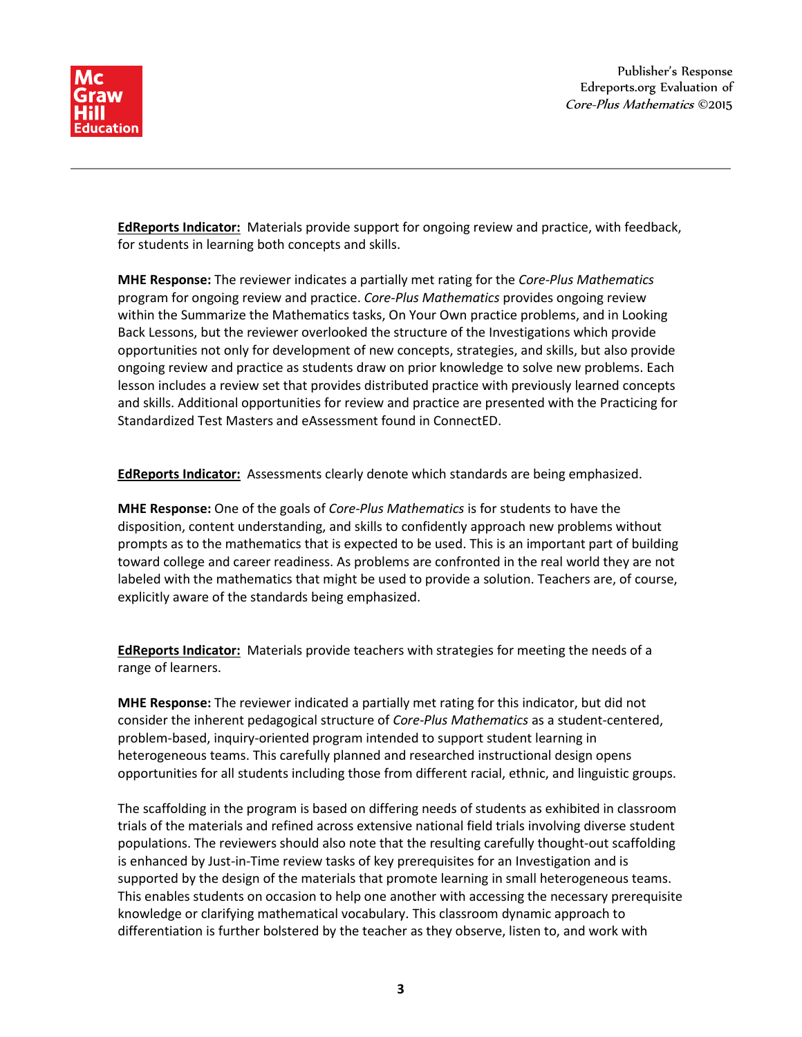

**EdReports Indicator:** Materials provide support for ongoing review and practice, with feedback, for students in learning both concepts and skills.

**MHE Response:** The reviewer indicates a partially met rating for the *Core-Plus Mathematics* program for ongoing review and practice. *Core-Plus Mathematics* provides ongoing review within the Summarize the Mathematics tasks, On Your Own practice problems, and in Looking Back Lessons, but the reviewer overlooked the structure of the Investigations which provide opportunities not only for development of new concepts, strategies, and skills, but also provide ongoing review and practice as students draw on prior knowledge to solve new problems. Each lesson includes a review set that provides distributed practice with previously learned concepts and skills. Additional opportunities for review and practice are presented with the Practicing for Standardized Test Masters and eAssessment found in ConnectED.

**EdReports Indicator:** Assessments clearly denote which standards are being emphasized.

**MHE Response:** One of the goals of *Core-Plus Mathematics* is for students to have the disposition, content understanding, and skills to confidently approach new problems without prompts as to the mathematics that is expected to be used. This is an important part of building toward college and career readiness. As problems are confronted in the real world they are not labeled with the mathematics that might be used to provide a solution. Teachers are, of course, explicitly aware of the standards being emphasized.

**EdReports Indicator:** Materials provide teachers with strategies for meeting the needs of a range of learners.

**MHE Response:** The reviewer indicated a partially met rating for this indicator, but did not consider the inherent pedagogical structure of *Core-Plus Mathematics* as a student-centered, problem-based, inquiry-oriented program intended to support student learning in heterogeneous teams. This carefully planned and researched instructional design opens opportunities for all students including those from different racial, ethnic, and linguistic groups.

The scaffolding in the program is based on differing needs of students as exhibited in classroom trials of the materials and refined across extensive national field trials involving diverse student populations. The reviewers should also note that the resulting carefully thought-out scaffolding is enhanced by Just-in-Time review tasks of key prerequisites for an Investigation and is supported by the design of the materials that promote learning in small heterogeneous teams. This enables students on occasion to help one another with accessing the necessary prerequisite knowledge or clarifying mathematical vocabulary. This classroom dynamic approach to differentiation is further bolstered by the teacher as they observe, listen to, and work with